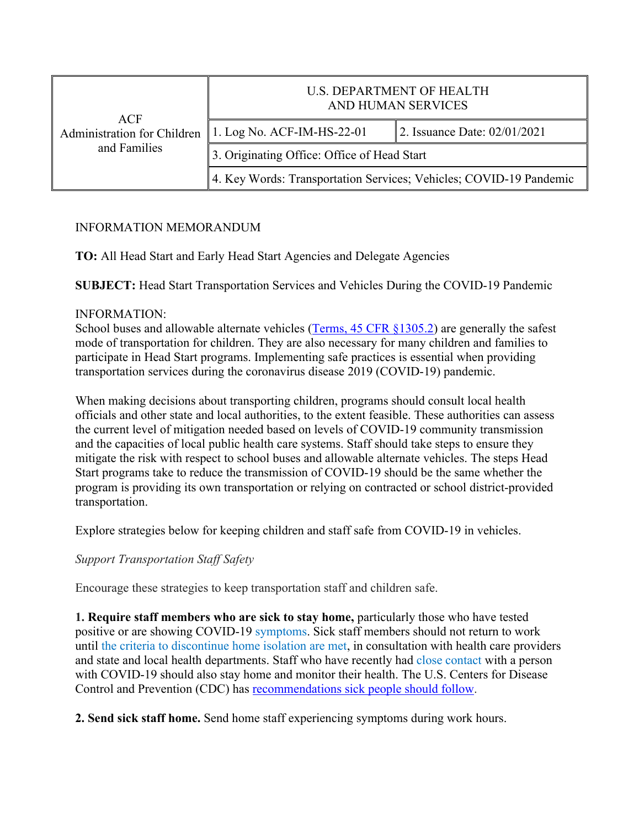| ACF<br>Administration for Children<br>and Families | <b>U.S. DEPARTMENT OF HEALTH</b><br>AND HUMAN SERVICES             |                              |
|----------------------------------------------------|--------------------------------------------------------------------|------------------------------|
|                                                    | 1. Log No. ACF-IM-HS-22-01                                         | 2. Issuance Date: 02/01/2021 |
|                                                    | 3. Originating Office: Office of Head Start                        |                              |
|                                                    | 4. Key Words: Transportation Services; Vehicles; COVID-19 Pandemic |                              |

## INFORMATION MEMORANDUM

**TO:** All Head Start and Early Head Start Agencies and Delegate Agencies

**SUBJECT:** Head Start Transportation Services and Vehicles During the COVID-19 Pandemic

## INFORMATION:

School buses and allowable alternate vehicles ([Terms, 45 CFR §1305.2\)](https://eclkc.ohs.acf.hhs.gov/policy/45-cfr-chap-xiii/1305-2-terms) are generally the safest mode of transportation for children. They are also necessary for many children and families to participate in Head Start programs. Implementing safe practices is essential when providing transportation services during the coronavirus disease 2019 (COVID-19) pandemic.

When making decisions about transporting children, programs should consult local health officials and other state and local authorities, to the extent feasible. These authorities can assess the current level of mitigation needed based on levels of COVID-19 community transmission and the capacities of local public health care systems. Staff should take steps to ensure they mitigate the risk with respect to school buses and allowable alternate vehicles. The steps Head Start programs take to reduce the transmission of COVID-19 should be the same whether the program is providing its own transportation or relying on contracted or school district-provided transportation.

Explore strategies below for keeping children and staff safe from COVID-19 in vehicles.

*Support Transportation Staff Safety*

Encourage these strategies to keep transportation staff and children safe.

**1. Require staff members who are sick to stay home,** particularly those who have tested positive or are showing COVID-19 [symptoms.](https://www.cdc.gov/coronavirus/2019-ncov/symptoms-testing/symptoms.html) Sick staff members should not return to work until [the criteria to discontinue home isolation are met,](https://www.cdc.gov/coronavirus/2019-ncov/if-you-are-sick/end-home-isolation.html) in consultation with health care providers and state and local health departments. Staff who have recently had [close contact](https://www.cdc.gov/coronavirus/2019-ncov/php/public-health-recommendations.html) with a person with COVID-19 should also stay home and monitor their health. The U.S. Centers for Disease Control and Prevention (CDC) has [recommendations sick people should follow.](https://www.cdc.gov/coronavirus/2019-ncov/if-you-are-sick/steps-when-sick.html)

**2. Send sick staff home.** Send home staff experiencing symptoms during work hours.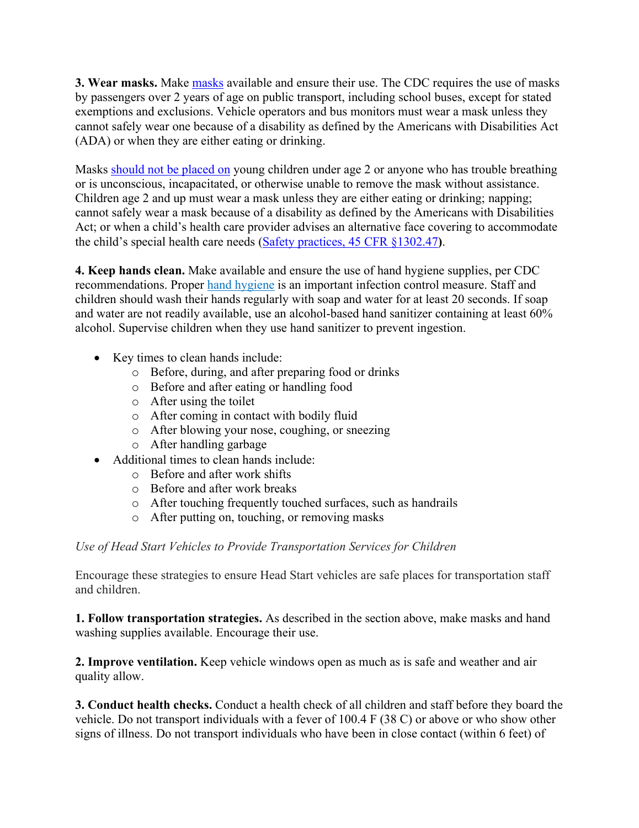**3. Wear masks.** Make [masks](https://www.cdc.gov/coronavirus/2019-ncov/prevent-getting-sick/diy-cloth-face-coverings.html) available and ensure their use. The CDC requires the use of masks by passengers over 2 years of age on public transport, including school buses, except for stated exemptions and exclusions. Vehicle operators and bus monitors must wear a mask unless they cannot safely wear one because of a disability as defined by the Americans with Disabilities Act (ADA) or when they are either eating or drinking.

Masks [should not be placed](https://www.cdc.gov/coronavirus/2019-ncov/prevent-getting-sick/about-face-coverings.html) on young children under age 2 or anyone who has trouble breathing or is unconscious, incapacitated, or otherwise unable to remove the mask without assistance. Children age 2 and up must wear a mask unless they are either eating or drinking; napping; cannot safely wear a mask because of a disability as defined by the Americans with Disabilities Act; or when a child's health care provider advises an alternative face covering to accommodate the child's special health care needs [\(Safety practices, 45 CFR §1302.47](https://eclkc.ohs.acf.hhs.gov/policy/45-cfr-chap-xiii/1302-47-safety-practices)**)**.

**4. Keep hands clean.** Make available and ensure the use of hand hygiene supplies, per CDC recommendations. Proper [hand hygiene](https://www.cdc.gov/handwashing/index.html) is an important infection control measure. Staff and children should wash their hands regularly with soap and water for at least 20 seconds. If soap and water are not readily available, use an alcohol-based hand sanitizer containing at least 60% alcohol. Supervise children when they use hand sanitizer to prevent ingestion.

- Key times to clean hands include:
	- o Before, during, and after preparing food or drinks
	- o Before and after eating or handling food
	- o After using the toilet
	- o After coming in contact with bodily fluid
	- o After blowing your nose, coughing, or sneezing
	- o After handling garbage
- · Additional times to clean hands include:
	- o Before and after work shifts
	- o Before and after work breaks
	- o After touching frequently touched surfaces, such as handrails
	- o After putting on, touching, or removing masks

## *Use of Head Start Vehicles to Provide Transportation Services for Children*

Encourage these strategies to ensure Head Start vehicles are safe places for transportation staff and children.

**1. Follow transportation strategies.** As described in the section above, make masks and hand washing supplies available. Encourage their use.

**2. Improve ventilation.** Keep vehicle windows open as much as is safe and weather and air quality allow.

**3. Conduct health checks.** Conduct a health check of all children and staff before they board the vehicle. Do not transport individuals with a fever of 100.4 F (38 C) or above or who show other signs of illness. Do not transport individuals who have been in close contact (within 6 feet) of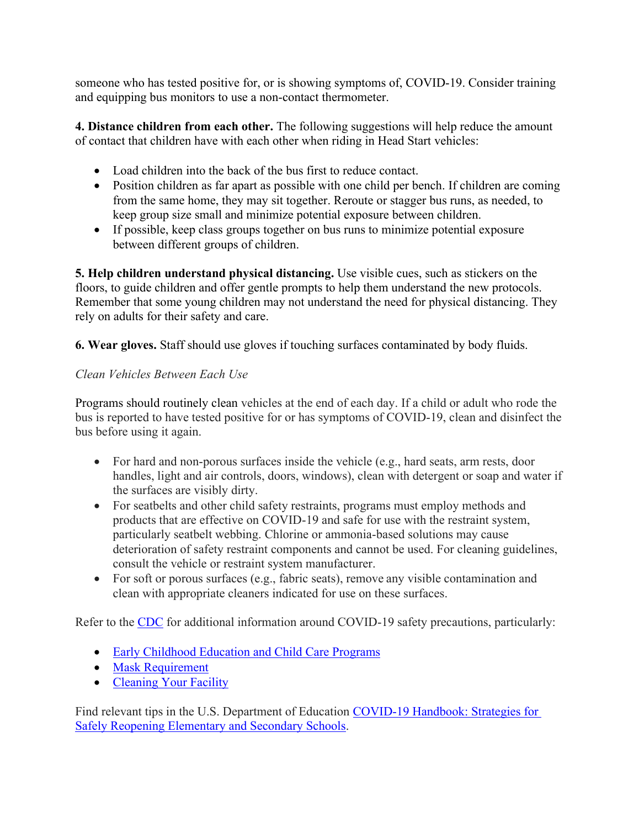someone who has tested positive for, or is showing symptoms of, COVID-19. Consider training and equipping bus monitors to use a non-contact thermometer.

**4. Distance children from each other.** The following suggestions will help reduce the amount of contact that children have with each other when riding in Head Start vehicles:

- · Load children into the back of the bus first to reduce contact.
- Position children as far apart as possible with one child per bench. If children are coming from the same home, they may sit together. Reroute or stagger bus runs, as needed, to keep group size small and minimize potential exposure between children.
- · If possible, keep class groups together on bus runs to minimize potential exposure between different groups of children.

**5. Help children understand physical distancing.** Use visible cues, such as stickers on the floors, to guide children and offer gentle prompts to help them understand the new protocols. Remember that some young children may not understand the need for physical distancing. They rely on adults for their safety and care.

**6. Wear gloves.** Staff should use gloves if touching surfaces contaminated by body fluids.

# *Clean Vehicles Between Each Use*

Programs should routinely clean vehicles at the end of each day. If a child or adult who rode the bus is reported to have tested positive for or has symptoms of COVID-19, clean and disinfect the bus before using it again.

- For hard and non-porous surfaces inside the vehicle (e.g., hard seats, arm rests, door handles, light and air controls, doors, windows), clean with detergent or soap and water if the surfaces are visibly dirty.
- · For seatbelts and other child safety restraints, programs must employ methods and products that are effective on COVID-19 and safe for use with the restraint system, particularly seatbelt webbing. Chlorine or ammonia-based solutions may cause deterioration of safety restraint components and cannot be used. For cleaning guidelines, consult the vehicle or restraint system manufacturer.
- For soft or porous surfaces (e.g., fabric seats), remove any visible contamination and clean with appropriate cleaners indicated for use on these surfaces.

Refer to the [CDC](https://www.cdc.gov/) for additional information around COVID-19 safety precautions, particularly:

- [Early Childhood Education and Child Care Programs](https://www.cdc.gov/coronavirus/2019-ncov/community/schools-childcare/child-care-guidance.html)
- [Mask Requirement](https://www.cdc.gov/coronavirus/2019-ncov/travelers/face-masks-public-transportation.html)
- [Cleaning Your Facility](https://www.cdc.gov/coronavirus/2019-ncov/community/disinfecting-building-facility.html)

Find relevant tips in the U.S. Department of Education [COVID-19 Handbook: Strategies for](https://www2.ed.gov/documents/coronavirus/reopening.pdf)  [Safely Reopening Elementary and Secondary Schools.](https://www2.ed.gov/documents/coronavirus/reopening.pdf)